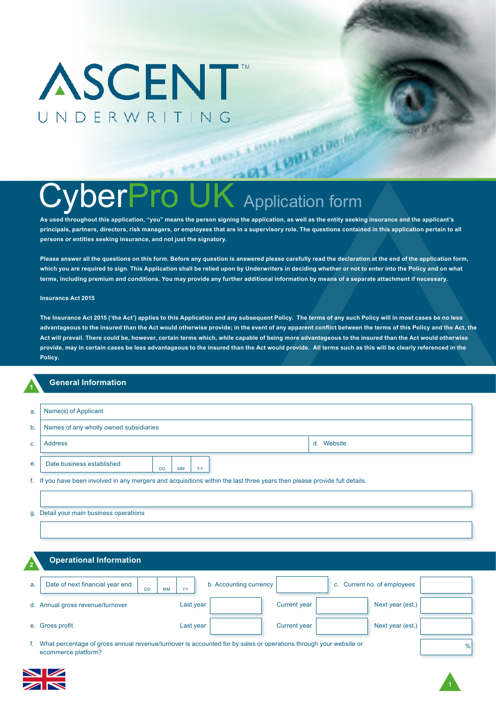# **DerPro UK** Application form

**AT HIGH** 

**As used throughout this application, "you" means the person signing the application, as well as the entity seeking insurance and the applicant's principals, partners, directors, risk managers, or employees that are in a supervisory role. The questions contained in this application pertain to all persons or entities seeking insurance, and not just the signatory.**

LOND RIDGE

**Please answer all the questions on this form. Before any question is answered please carefully read the declaration at the end of the application form, which you are required to sign. This Application shall be relied upon by Underwriters in deciding whether or not to enter into the Policy and on what terms, including premium and conditions. You may provide any further additional information by means of a separate attachment if necessary.**

#### **Insurance Act 2015**

**The Insurance Act 2015 ('the Act') applies to this Application and any subsequent Policy. The terms of any such Policy will in most cases be no less advantageous to the insured than the Act would otherwise provide; in the event of any apparent conflict between the terms of this Policy and the Act, the Act will prevail. There could be, however, certain terms which, while capable of being more advantageous to the insured than the Act would otherwise provide, may in certain cases be less advantageous to the insured than the Act would provide. All terms such as this will be clearly referenced in the Policy.**

### **<sup>1</sup> General Information**

| a. | Name(s) of Applicant                                                                                                       |  |  |  |  |  |  |
|----|----------------------------------------------------------------------------------------------------------------------------|--|--|--|--|--|--|
| b. | Names of any wholly owned subsidiaries                                                                                     |  |  |  |  |  |  |
| C. | d. Website<br><b>Address</b>                                                                                               |  |  |  |  |  |  |
| е. | Date business established<br>YY<br>MM<br><b>DD</b>                                                                         |  |  |  |  |  |  |
|    | f. If you have been involved in any mergers and acquisitions within the last three years then please provide full details. |  |  |  |  |  |  |
|    |                                                                                                                            |  |  |  |  |  |  |
|    | g. Detail your main business operations                                                                                    |  |  |  |  |  |  |
|    |                                                                                                                            |  |  |  |  |  |  |

#### **<sup>2</sup> Operational Information**

| . . |                                                           |           |                        |                     |                             |  |
|-----|-----------------------------------------------------------|-----------|------------------------|---------------------|-----------------------------|--|
| a.  | Date of next financial year end<br><b>MM</b><br><b>DD</b> | YY        | b. Accounting currency |                     | c. Current no. of employees |  |
|     | d. Annual gross revenue/turnover                          | Last year |                        | <b>Current year</b> | Next year (est.)            |  |
|     | e. Gross profit                                           | Last year |                        | <b>Current year</b> | Next year (est.)            |  |
|     |                                                           |           |                        |                     |                             |  |

%

f. What percentage of gross annual revenue/turnover is accounted for by sales or operations through your website or ecommerce platform?

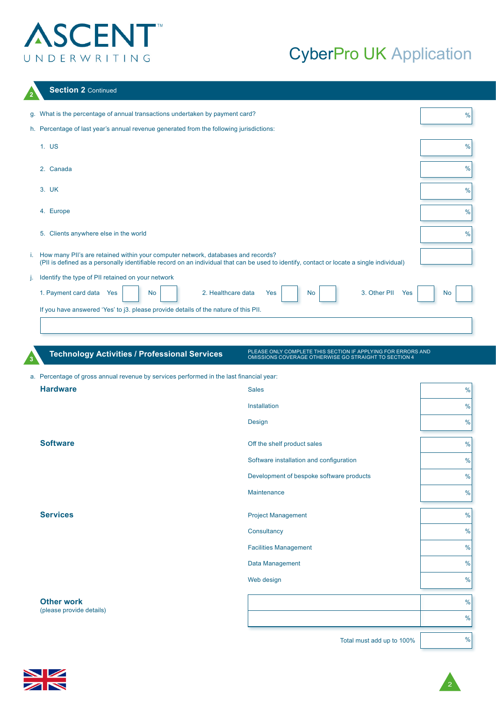## CyberPro UK Application

|  | <b>Section 2 Continued</b> |  |
|--|----------------------------|--|
|--|----------------------------|--|

|    | g. What is the percentage of annual transactions undertaken by payment card?                                                                                                                                                     | %             |
|----|----------------------------------------------------------------------------------------------------------------------------------------------------------------------------------------------------------------------------------|---------------|
|    | h. Percentage of last year's annual revenue generated from the following jurisdictions:                                                                                                                                          |               |
|    | 1. US                                                                                                                                                                                                                            | $\%$          |
|    | 2. Canada                                                                                                                                                                                                                        | $\frac{0}{0}$ |
|    | 3. UK                                                                                                                                                                                                                            | $\frac{0}{0}$ |
|    | 4. Europe                                                                                                                                                                                                                        | $\frac{0}{0}$ |
|    | 5. Clients anywhere else in the world                                                                                                                                                                                            | $\frac{0}{0}$ |
|    | i. How many PII's are retained within your computer network, databases and records?<br>(PII is defined as a personally identifiable record on an individual that can be used to identify, contact or locate a single individual) |               |
| Ŀ. | Identify the type of PII retained on your network                                                                                                                                                                                |               |
|    | 1. Payment card data<br>2. Healthcare data<br>3. Other PII<br><b>No</b><br>Yes<br><b>No</b><br>Yes<br>Yes                                                                                                                        | <b>No</b>     |
|    | If you have answered 'Yes' to j3. please provide details of the nature of this PII.                                                                                                                                              |               |
|    |                                                                                                                                                                                                                                  |               |

#### a. Percentage of gross annual revenue by services performed in the last financial year:

**<sup>3</sup> Technology Activities / Professional Services**

| <b>Hardware</b><br><b>Sales</b><br>Installation<br>Design<br><b>Software</b><br>Off the shelf product sales<br>Software installation and configuration<br>Development of bespoke software products<br>Maintenance<br><b>Services</b><br><b>Project Management</b><br>Consultancy<br><b>Facilities Management</b><br>Data Management<br>Web design<br><b>Other work</b><br>(please provide details) |  |               |
|----------------------------------------------------------------------------------------------------------------------------------------------------------------------------------------------------------------------------------------------------------------------------------------------------------------------------------------------------------------------------------------------------|--|---------------|
|                                                                                                                                                                                                                                                                                                                                                                                                    |  | $\frac{0}{0}$ |
|                                                                                                                                                                                                                                                                                                                                                                                                    |  | $\frac{0}{0}$ |
|                                                                                                                                                                                                                                                                                                                                                                                                    |  | $\frac{0}{0}$ |
|                                                                                                                                                                                                                                                                                                                                                                                                    |  |               |
|                                                                                                                                                                                                                                                                                                                                                                                                    |  | $\frac{0}{0}$ |
|                                                                                                                                                                                                                                                                                                                                                                                                    |  | $\frac{0}{0}$ |
|                                                                                                                                                                                                                                                                                                                                                                                                    |  | $\frac{0}{0}$ |
|                                                                                                                                                                                                                                                                                                                                                                                                    |  | $\frac{0}{0}$ |
|                                                                                                                                                                                                                                                                                                                                                                                                    |  |               |
|                                                                                                                                                                                                                                                                                                                                                                                                    |  | $\frac{0}{0}$ |
|                                                                                                                                                                                                                                                                                                                                                                                                    |  | $\frac{0}{0}$ |
|                                                                                                                                                                                                                                                                                                                                                                                                    |  | $\frac{0}{0}$ |
|                                                                                                                                                                                                                                                                                                                                                                                                    |  | $\frac{0}{0}$ |
|                                                                                                                                                                                                                                                                                                                                                                                                    |  | $\frac{0}{0}$ |
|                                                                                                                                                                                                                                                                                                                                                                                                    |  |               |
|                                                                                                                                                                                                                                                                                                                                                                                                    |  | $\frac{0}{0}$ |
|                                                                                                                                                                                                                                                                                                                                                                                                    |  | $\frac{0}{0}$ |
|                                                                                                                                                                                                                                                                                                                                                                                                    |  |               |

Total must add up to 100%

PLEASE ONLY COMPLETE THIS SECTION IF APPLYING FOR ERRORS AND OMISSIONS COVERAGE OTHERWISE GO STRAIGHT TO SECTION 4

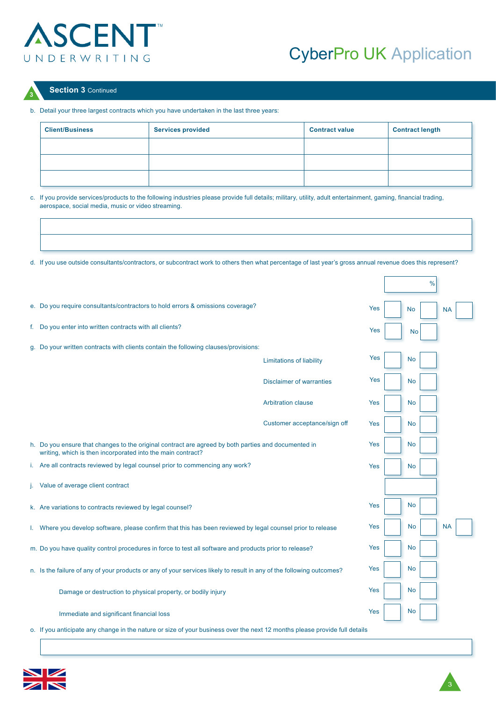

### CyberPro UK Application

### **<sup>3</sup> Section 3** Continued

### b. Detail your three largest contracts which you have undertaken in the last three years:

| <b>Client/Business</b> | <b>Services provided</b> | <b>Contract value</b> | <b>Contract length</b> |
|------------------------|--------------------------|-----------------------|------------------------|
|                        |                          |                       |                        |
|                        |                          |                       |                        |
|                        |                          |                       |                        |

c. If you provide services/products to the following industries please provide full details; military, utility, adult entertainment, gaming, financial trading, aerospace, social media, music or video streaming.

d. If you use outside consultants/contractors, or subcontract work to others then what percentage of last year's gross annual revenue does this represent?

| e. Do you require consultants/contractors to hold errors & omissions coverage?                                                                                     |                                 | Yes | No        | <b>NA</b> |  |
|--------------------------------------------------------------------------------------------------------------------------------------------------------------------|---------------------------------|-----|-----------|-----------|--|
| f. Do you enter into written contracts with all clients?                                                                                                           |                                 | Yes | <b>No</b> |           |  |
| g. Do your written contracts with clients contain the following clauses/provisions:                                                                                |                                 |     |           |           |  |
|                                                                                                                                                                    | <b>Limitations of liability</b> | Yes | <b>No</b> |           |  |
|                                                                                                                                                                    | <b>Disclaimer of warranties</b> | Yes | No        |           |  |
|                                                                                                                                                                    | <b>Arbitration clause</b>       | Yes | No        |           |  |
|                                                                                                                                                                    | Customer acceptance/sign off    | Yes | No        |           |  |
| h. Do you ensure that changes to the original contract are agreed by both parties and documented in<br>writing, which is then incorporated into the main contract? |                                 | Yes | No        |           |  |
| i. Are all contracts reviewed by legal counsel prior to commencing any work?                                                                                       |                                 | Yes | No        |           |  |
| Value of average client contract                                                                                                                                   |                                 |     |           |           |  |
| k. Are variations to contracts reviewed by legal counsel?                                                                                                          |                                 | Yes | <b>No</b> |           |  |
| I. Where you develop software, please confirm that this has been reviewed by legal counsel prior to release                                                        |                                 | Yes | No        | <b>NA</b> |  |
| m. Do you have quality control procedures in force to test all software and products prior to release?                                                             |                                 | Yes | No        |           |  |
| n. Is the failure of any of your products or any of your services likely to result in any of the following outcomes?                                               |                                 | Yes | No        |           |  |
| Damage or destruction to physical property, or bodily injury                                                                                                       |                                 | Yes | No        |           |  |
| Immediate and significant financial loss                                                                                                                           |                                 | Yes | No        |           |  |
| o. If you anticipate any change in the nature or size of your business over the next 12 months please provide full details                                         |                                 |     |           |           |  |



 $\frac{9}{6}$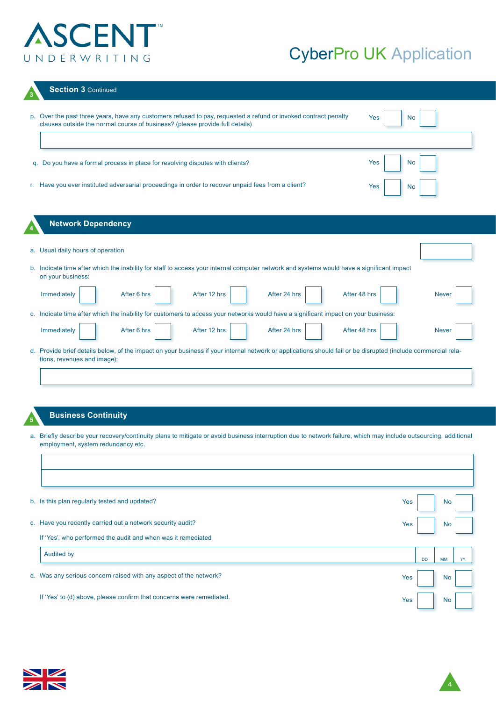### CyberPro UK Application

| <b>Section 3 Continued</b>                                                                                                                                                                                          |
|---------------------------------------------------------------------------------------------------------------------------------------------------------------------------------------------------------------------|
| p. Over the past three years, have any customers refused to pay, requested a refund or invoked contract penalty<br>Yes<br><b>No</b><br>clauses outside the normal course of business? (please provide full details) |
| Yes<br><b>No</b><br>q. Do you have a formal process in place for resolving disputes with clients?                                                                                                                   |
| r. Have you ever instituted adversarial proceedings in order to recover unpaid fees from a client?<br>Yes<br>No                                                                                                     |
| <b>Network Dependency</b>                                                                                                                                                                                           |
| a. Usual daily hours of operation                                                                                                                                                                                   |
| b. Indicate time after which the inability for staff to access your internal computer network and systems would have a significant impact<br>on your business:                                                      |
| After 48 hrs<br>Immediately<br>After 6 hrs<br>After 12 hrs<br>After 24 hrs<br><b>Never</b>                                                                                                                          |
| c. Indicate time after which the inability for customers to access your networks would have a significant impact on your business:                                                                                  |
| Immediately<br>After 6 hrs<br>After 12 hrs<br>After 24 hrs<br>After 48 hrs<br><b>Never</b>                                                                                                                          |
| d. Provide brief details below, of the impact on your business if your internal network or applications should fail or be disrupted (include commercial rela-<br>tions, revenues and image):                        |
|                                                                                                                                                                                                                     |

### **<sup>5</sup> Business Continuity**

a. Briefly describe your recovery/continuity plans to mitigate or avoid business interruption due to network failure, which may include outsourcing, additional employment, system redundancy etc.

| b. Is this plan regularly tested and updated?                        | Yes |           | <b>No</b> |    |
|----------------------------------------------------------------------|-----|-----------|-----------|----|
| c. Have you recently carried out a network security audit?           | Yes |           | <b>No</b> |    |
| If 'Yes', who performed the audit and when was it remediated         |     |           |           |    |
| <b>Audited by</b>                                                    |     | <b>DD</b> | <b>MM</b> | YY |
| d. Was any serious concern raised with any aspect of the network?    | Yes |           | No        |    |
| If 'Yes' to (d) above, please confirm that concerns were remediated. | Yes |           | <b>No</b> |    |

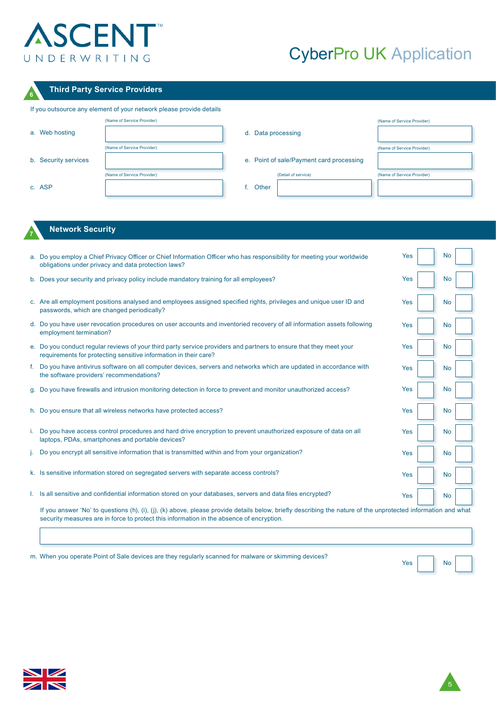# CyberPro UK Application

٦

### **<sup>6</sup> Third Party Service Providers**

| If you outsource any element of your network please provide details |                            |                                          |                            |  |  |  |
|---------------------------------------------------------------------|----------------------------|------------------------------------------|----------------------------|--|--|--|
|                                                                     | (Name of Service Provider) |                                          | (Name of Service Provider) |  |  |  |
| a. Web hosting                                                      |                            | d. Data processing                       |                            |  |  |  |
|                                                                     | (Name of Service Provider) |                                          | (Name of Service Provider) |  |  |  |
| b. Security services                                                |                            | e. Point of sale/Payment card processing |                            |  |  |  |
|                                                                     | (Name of Service Provider) | (Detail of service)                      | (Name of Service Provider) |  |  |  |
| c. ASP                                                              |                            | Other                                    |                            |  |  |  |

### **<sup>7</sup> Network Security**

|    | a. Do you employ a Chief Privacy Officer or Chief Information Officer who has responsibility for meeting your worldwide<br>obligations under privacy and data protection laws?                                                                            | Yes |  | <b>No</b> |  |
|----|-----------------------------------------------------------------------------------------------------------------------------------------------------------------------------------------------------------------------------------------------------------|-----|--|-----------|--|
|    | b. Does your security and privacy policy include mandatory training for all employees?                                                                                                                                                                    | Yes |  | No        |  |
|    | c. Are all employment positions analysed and employees assigned specified rights, privileges and unique user ID and<br>passwords, which are changed periodically?                                                                                         | Yes |  | No        |  |
|    | d. Do you have user revocation procedures on user accounts and inventoried recovery of all information assets following<br>employment termination?                                                                                                        | Yes |  | No        |  |
|    | e. Do you conduct regular reviews of your third party service providers and partners to ensure that they meet your<br>requirements for protecting sensitive information in their care?                                                                    | Yes |  | No        |  |
| f. | Do you have antivirus software on all computer devices, servers and networks which are updated in accordance with<br>the software providers' recommendations?                                                                                             | Yes |  | <b>No</b> |  |
|    | g. Do you have firewalls and intrusion monitoring detection in force to prevent and monitor unauthorized access?                                                                                                                                          | Yes |  | No        |  |
|    | h. Do you ensure that all wireless networks have protected access?                                                                                                                                                                                        | Yes |  | <b>No</b> |  |
|    | i. Do you have access control procedures and hard drive encryption to prevent unauthorized exposure of data on all<br>laptops, PDAs, smartphones and portable devices?                                                                                    | Yes |  | <b>No</b> |  |
|    | Do you encrypt all sensitive information that is transmitted within and from your organization?                                                                                                                                                           | Yes |  | <b>No</b> |  |
|    | k. Is sensitive information stored on segregated servers with separate access controls?                                                                                                                                                                   | Yes |  | No        |  |
|    | I. Is all sensitive and confidential information stored on your databases, servers and data files encrypted?                                                                                                                                              | Yes |  | <b>No</b> |  |
|    | If you answer 'No' to questions (h), (i), (i), (k) above, please provide details below, briefly describing the nature of the unprotected information and what<br>security measures are in force to protect this information in the absence of encryption. |     |  |           |  |

| m. When you operate Point of Sale devices are they regularly scanned for malware or skimming devices? | No <sub>1</sub><br>Yes |
|-------------------------------------------------------------------------------------------------------|------------------------|



 $\sqrt{ }$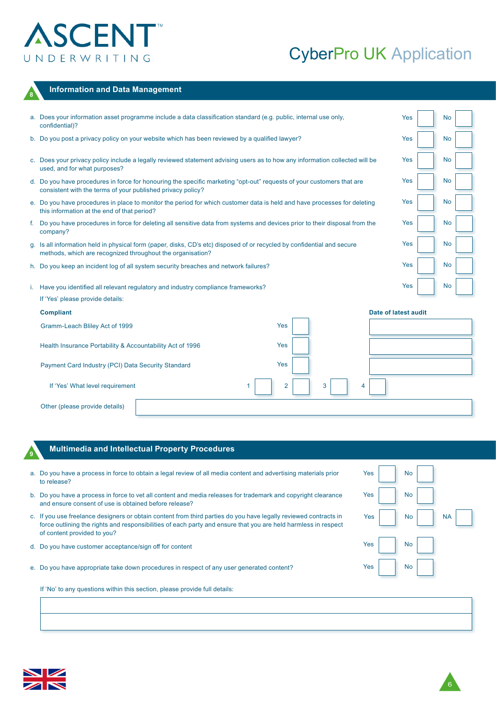**<sup>8</sup> Information and Data Management**

# CyberPro UK Application

6

| a. Does your information asset programme include a data classification standard (e.g. public, internal use only,<br>confidential)?                                                    | Yes                  | <b>No</b> |  |
|---------------------------------------------------------------------------------------------------------------------------------------------------------------------------------------|----------------------|-----------|--|
| b. Do you post a privacy policy on your website which has been reviewed by a qualified lawyer?                                                                                        | Yes                  | <b>No</b> |  |
| c. Does your privacy policy include a legally reviewed statement advising users as to how any information collected will be<br>used, and for what purposes?                           | Yes                  | No        |  |
| d. Do you have procedures in force for honouring the specific marketing "opt-out" requests of your customers that are<br>consistent with the terms of your published privacy policy?  | Yes                  | No        |  |
| e. Do you have procedures in place to monitor the period for which customer data is held and have processes for deleting<br>this information at the end of that period?               | Yes                  | No        |  |
| f. Do you have procedures in force for deleting all sensitive data from systems and devices prior to their disposal from the<br>company?                                              | Yes                  | No        |  |
| g. Is all information held in physical form (paper, disks, CD's etc) disposed of or recycled by confidential and secure<br>methods, which are recognized throughout the organisation? | Yes                  | No        |  |
| h. Do you keep an incident log of all system security breaches and network failures?                                                                                                  | Yes                  | No        |  |
| i. Have you identified all relevant regulatory and industry compliance frameworks?                                                                                                    | Yes                  | No        |  |
| If 'Yes' please provide details:                                                                                                                                                      |                      |           |  |
| <b>Compliant</b>                                                                                                                                                                      | Date of latest audit |           |  |
| Yes<br>Gramm-Leach Bliley Act of 1999                                                                                                                                                 |                      |           |  |
| Yes<br>Health Insurance Portability & Accountability Act of 1996                                                                                                                      |                      |           |  |
| Yes<br>Payment Card Industry (PCI) Data Security Standard                                                                                                                             |                      |           |  |
| If 'Yes' What level requirement<br>3<br>2<br>4                                                                                                                                        |                      |           |  |
| Other (please provide details)                                                                                                                                                        |                      |           |  |

### **<sup>9</sup> Multimedia and Intellectual Property Procedures**

| a. Do you have a process in force to obtain a legal review of all media content and advertising materials prior<br>to release?                                                                                                                                    | Yes | <b>No</b> |           |
|-------------------------------------------------------------------------------------------------------------------------------------------------------------------------------------------------------------------------------------------------------------------|-----|-----------|-----------|
| b. Do you have a process in force to vet all content and media releases for trademark and copyright clearance<br>and ensure consent of use is obtained before release?                                                                                            | Yes | <b>No</b> |           |
| c. If you use freelance designers or obtain content from third parties do you have legally reviewed contracts in<br>force outlining the rights and responsibilities of each party and ensure that you are held harmless in respect<br>of content provided to you? | Yes | <b>No</b> | <b>NA</b> |
| d. Do you have customer acceptance/sign off for content                                                                                                                                                                                                           | Yes | <b>No</b> |           |
| e. Do you have appropriate take down procedures in respect of any user generated content?                                                                                                                                                                         | Yes | <b>No</b> |           |
| If 'No' to any questions within this section, please provide full details:                                                                                                                                                                                        |     |           |           |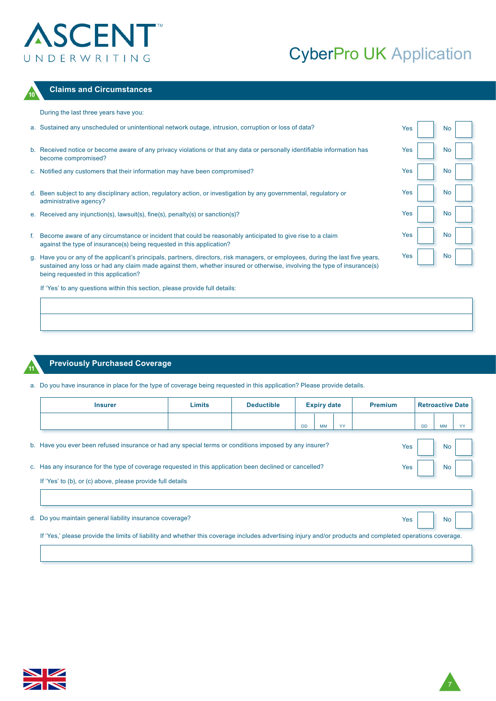### CyberPro UK Application



### **<sup>10</sup> Claims and Circumstances**

During the last three years have you:

| a. Sustained any unscheduled or unintentional network outage, intrusion, corruption or loss of data?                                                                                  | Yes | No |  |
|---------------------------------------------------------------------------------------------------------------------------------------------------------------------------------------|-----|----|--|
| b. Received notice or become aware of any privacy violations or that any data or personally identifiable information has<br>become compromised?                                       | Yes | No |  |
| c. Notified any customers that their information may have been compromised?                                                                                                           | Yes | No |  |
| d. Been subject to any disciplinary action, regulatory action, or investigation by any governmental, regulatory or<br>administrative agency?                                          | Yes | No |  |
| e. Received any injunction(s), lawsuit(s), fine(s), penalty(s) or sanction(s)?                                                                                                        | Yes | No |  |
| f. Become aware of any circumstance or incident that could be reasonably anticipated to give rise to a claim<br>against the type of insurance(s) being requested in this application? | Yes | No |  |
| g. Have you or any of the applicant's principals, partners, directors, risk managers, or employees, during the last five years.                                                       | Yes | No |  |

ir any of the applicant's principals, partners, directors, risk managers, or employees, during the last five years, sustained any loss or had any claim made against them, whether insured or otherwise, involving the type of insurance(s) being requested in this application?

If 'Yes' to any questions within this section, please provide full details:

### **<sup>11</sup> Previously Purchased Coverage**

a. Do you have insurance in place for the type of coverage being requested in this application? Please provide details.

|  | <b>Insurer</b>                                                                                          | <b>Limits</b> | <b>Deductible</b> | <b>Expiry date</b> |           |     |     | <b>Premium</b> |           | <b>Retroactive Date</b> |  |  |
|--|---------------------------------------------------------------------------------------------------------|---------------|-------------------|--------------------|-----------|-----|-----|----------------|-----------|-------------------------|--|--|
|  |                                                                                                         |               |                   | <b>DD</b>          | <b>MM</b> | YY  |     | <b>DD</b>      | <b>MM</b> | YY                      |  |  |
|  | b. Have you ever been refused insurance or had any special terms or conditions imposed by any insurer?  |               |                   |                    |           |     | Yes |                | <b>No</b> |                         |  |  |
|  | c. Has any insurance for the type of coverage requested in this application been declined or cancelled? |               |                   |                    |           | Yes |     | <b>No</b>      |           |                         |  |  |
|  | If 'Yes' to (b), or (c) above, please provide full details                                              |               |                   |                    |           |     |     |                |           |                         |  |  |
|  |                                                                                                         |               |                   |                    |           |     |     |                |           |                         |  |  |
|  | d. Do you maintain general liability insurance coverage?                                                |               |                   |                    |           |     | Yes |                | No        |                         |  |  |

If 'Yes,' please provide the limits of liability and whether this coverage includes advertising injury and/or products and completed operations coverage.



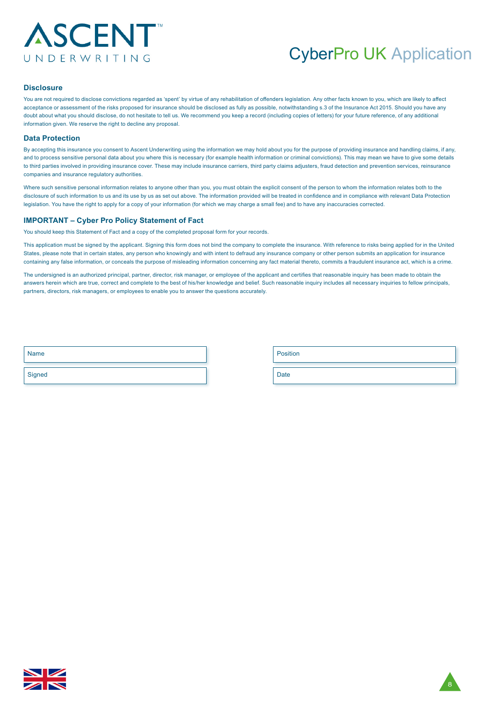### CyberPro UK Application

#### **Disclosure**

You are not required to disclose convictions regarded as 'spent' by virtue of any rehabilitation of offenders legislation. Any other facts known to you, which are likely to affect acceptance or assessment of the risks proposed for insurance should be disclosed as fully as possible, notwithstanding s.3 of the Insurance Act 2015. Should you have any doubt about what you should disclose, do not hesitate to tell us. We recommend you keep a record (including copies of letters) for your future reference, of any additional information given. We reserve the right to decline any proposal.

#### **Data Protection**

By accepting this insurance you consent to Ascent Underwriting using the information we may hold about you for the purpose of providing insurance and handling claims, if any, and to process sensitive personal data about you where this is necessary (for example health information or criminal convictions). This may mean we have to give some details to third parties involved in providing insurance cover. These may include insurance carriers, third party claims adjusters, fraud detection and prevention services, reinsurance companies and insurance regulatory authorities.

Where such sensitive personal information relates to anyone other than you, you must obtain the explicit consent of the person to whom the information relates both to the disclosure of such information to us and its use by us as set out above. The information provided will be treated in confidence and in compliance with relevant Data Protection legislation. You have the right to apply for a copy of your information (for which we may charge a small fee) and to have any inaccuracies corrected.

#### **IMPORTANT – Cyber Pro Policy Statement of Fact**

You should keep this Statement of Fact and a copy of the completed proposal form for your records.

This application must be signed by the applicant. Signing this form does not bind the company to complete the insurance. With reference to risks being applied for in the United States, please note that in certain states, any person who knowingly and with intent to defraud any insurance company or other person submits an application for insurance containing any false information, or conceals the purpose of misleading information concerning any fact material thereto, commits a fraudulent insurance act, which is a crime.

The undersigned is an authorized principal, partner, director, risk manager, or employee of the applicant and certifies that reasonable inquiry has been made to obtain the answers herein which are true, correct and complete to the best of his/her knowledge and belief. Such reasonable inquiry includes all necessary inquiries to fellow principals, partners, directors, risk managers, or employees to enable you to answer the questions accurately.

| <b>Name</b> | Position    |
|-------------|-------------|
| Signed      | <b>Date</b> |

| <b>Position</b> |  |  |
|-----------------|--|--|
|                 |  |  |
| -               |  |  |